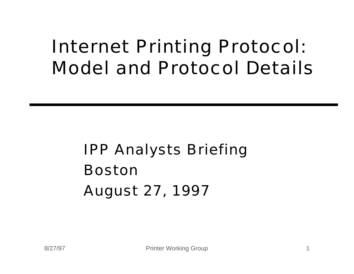## Internet Printing Protocol: Model and Protocol Details

## IPP Analysts Briefing Boston August 27, 1997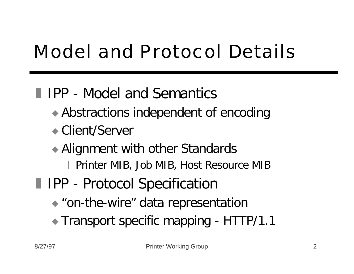# Model and Protocol Details

## **I** IPP - Model and Semantics

- $\triangle$  Abstractions independent of encoding
- ◆ Client/Server
- $\rightarrow$  Alignment with other Standards
	- x Printer MIB, Job MIB, Host Resource MIB
- **II IPP Protocol Specification** 
	- $\bullet$  "on-the-wire" data representation
	- Transport specific mapping HTTP/1.1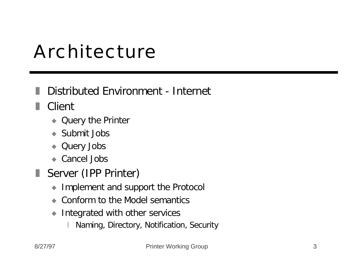## Architecture

#### Distributed Environment - Internet

**■** Client

- Query the Printer
- $\bullet$  Submit Jobs
- Query Jobs
- $\bullet$  Cancel Jobs
- Server (IPP Printer)
	- $\bullet$  Implement and support the Protocol
	- Conform to the Model semantics
	- $\bullet$  Integrated with other services
		- Naming, Directory, Notification, Security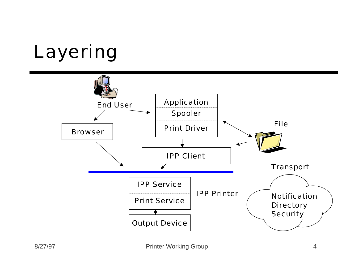# Layering

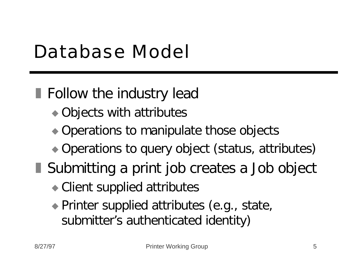## Database Model

 $\blacksquare$  Follow the industry lead

- $\rightarrow$  Objects with attributes
- $\rightarrow$  Operations to manipulate those objects
- Operations to query object (status, attributes)
- Submitting a print job creates a Job object
	- $\bullet$  Client supplied attributes
	- $\bullet$  Printer supplied attributes (e.g., state, submitter's authenticated identity)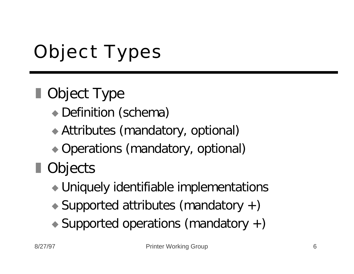# Object Types

## **Deset Type**

- Definition (schema)
- $\rightarrow$  Attributes (mandatory, optional)
- Operations (mandatory, optional)

## ■ Objects

- $\rightarrow$  Uniquely identifiable implementations
- $\rightarrow$  Supported attributes (mandatory +)
- $\rightarrow$  Supported operations (mandatory +)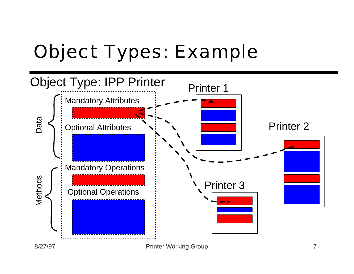## Object Types: Example

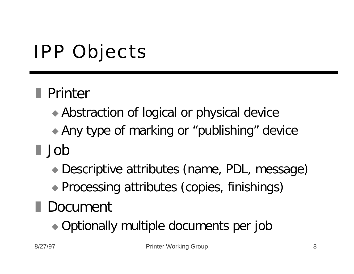# IPP Objects

## **Derinter**

- Abstraction of logical or physical device
- Any type of marking or "publishing" device
- z Job
	- ◆ Descriptive attributes (name, PDL, message)
	- Processing attributes (copies, finishings)

## **Document**

 $\rightarrow$  Optionally multiple documents per job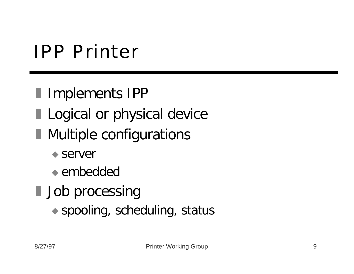## IPP Printer

- **I** Implements IPP
- **Logical or physical device**
- **Nultiple configurations** 
	- $\bullet$  server
	- $\bullet$  embedded
- **Job processing** 
	- $\bullet$  spooling, scheduling, status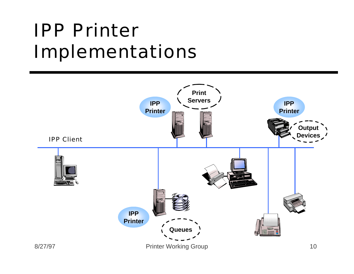## IPP Printer Implementations

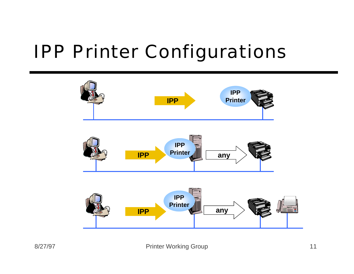## IPP Printer Configurations

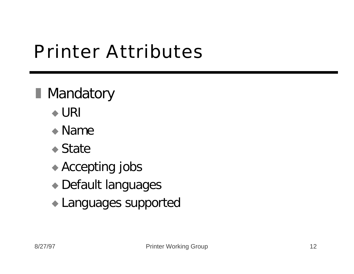## Printer Attributes

## **Mandatory**

- $\triangle$  URI
- $\bullet$  Name
- $\bullet$  State
- $\triangle$  Accepting jobs
- $\bullet$  Default languages
- $\blacktriangleright$  Languages supported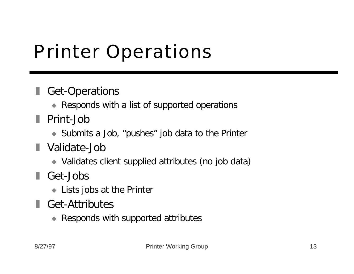## Printer Operations

#### Get-Operations

- Responds with a list of supported operations
- **Print-Job** 
	- $\bullet$  Submits a Job, "pushes" job data to the Printer
- **N** Validate-Job
	- ◆ Validates client supplied attributes (no job data)
- Get-Jobs
	- $\bullet$  Lists jobs at the Printer
- Get-Attributes
	- $\triangle$  Responds with supported attributes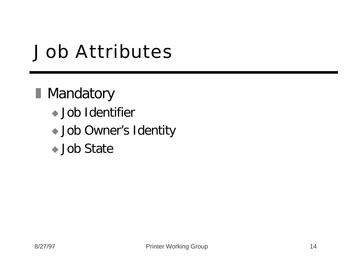## Job Attributes

### **Mandatory**

- $\bullet$  Job Identifier
- Job Owner's Identity
- ◆ Job State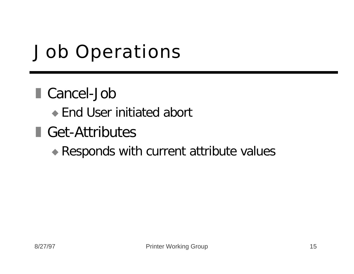# Job Operations

#### ■ Cancel-Job

- $\bullet$  End User initiated abort
- Get-Attributes

#### $\triangle$  Responds with current attribute values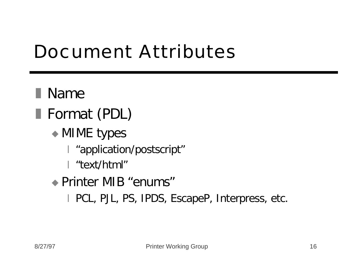## Document Attributes

**Name** Format (PDL)  $\bullet$  MIME types | "application/postscript" x "text/html" ◆ Printer MIB "enums" I PCL, PJL, PS, IPDS, EscapeP, Interpress, etc.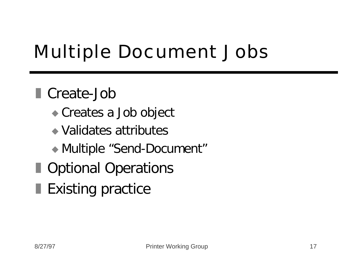# Multiple Document Jobs

### ■ Create-Job

- Creates a Job object
- $\rightarrow$  Validates attributes
- ◆ Multiple "Send-Document"
- **Departional Operations**
- Existing practice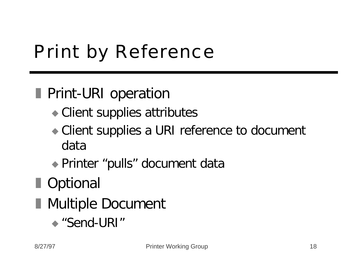# Print by Reference

## **Print-URI operation**

- $\bullet$  Client supplies attributes
- $\bullet$  Client supplies a URI reference to document data
- ◆ Printer "pulls" document data

## **Deparament Internal**

- **Nultiple Document** 
	- $\triangle$  "Send-URI"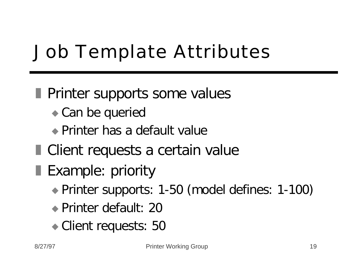# Job Template Attributes

#### **Printer supports some values**

- $\bullet$  Can be queried
- $\bullet$  Printer has a default value
- $\blacksquare$  Client requests a certain value
- **Example: priority** 
	- ◆ Printer supports: 1-50 (model defines: 1-100)
	- ◆ Printer default: 20
	- Client requests: 50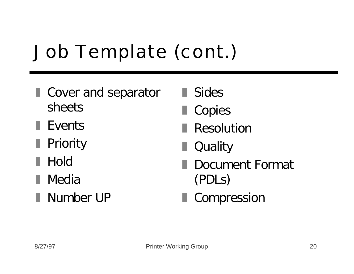# Job Template (cont.)

- **I** Cover and separator sheets
- $\blacksquare$  Events
- **Priority**
- **Hold**
- **■** Media
- **Number UP**
- **■** Sides
- Copies
- Resolution
- Quality
- Document Format (PDLs)
- **Compression**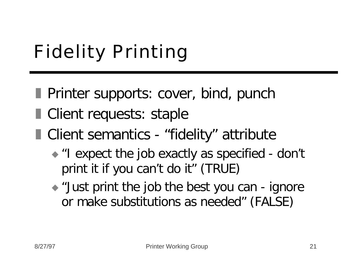# Fidelity Printing

- **Printer supports: cover, bind, punch**
- **Client requests: staple**
- Client semantics "fidelity" attribute
	- "I expect the job exactly as specified don't print it if you can't do it" (TRUE)
	- $\rightarrow$  "Just print the job the best you can ignore or make substitutions as needed" (FALSE)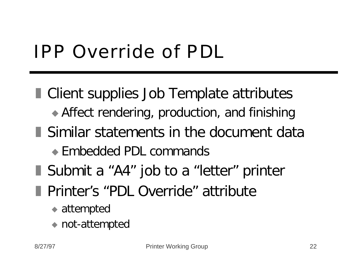# IPP Override of PDL

**E** Client supplies Job Template attributes  $\rightarrow$  Affect rendering, production, and finishing **Similar statements in the document data**  $\bullet$  Embedded PDL commands ■ Submit a "A4" job to a "letter" printer **Printer's "PDL Override" attribute**  $\bullet$  attempted

not-attempted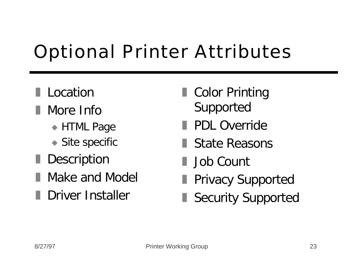# Optional Printer Attributes

#### **Location**

- **Nore Info** 
	- $\triangle$  HTML Page
	- $\bullet$  Site specific
- Description
- Make and Model
- **Driver Installer**
- Color Printing Supported
- **PDL Override**
- **State Reasons**
- I Job Count
- **Privacy Supported**
- Security Supported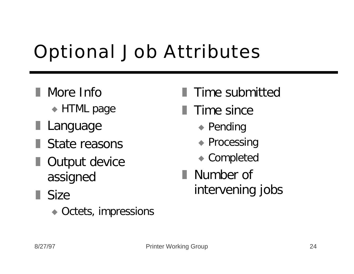# Optional Job Attributes

- I More Info
	- $\triangle$  HTML page
- **Language**
- **State reasons**
- **Output device** assigned
- $\blacksquare$  Size
	- $\bullet$  Octets, impressions
- Time submitted
- $\blacksquare$  Time since
	- $\bullet$  Pending
	- $\triangle$  Processing
	- $\bullet$  Completed
- Number of intervening jobs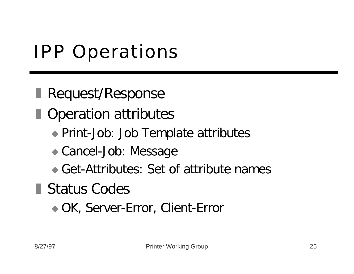# IPP Operations

**Request/Response** 

**Deration attributes** 

- ◆ Print-Job: Job Template attributes
- Cancel-Job: Message
- $\bullet$  Get-Attributes: Set of attribute names

**Status Codes** 

◆ OK, Server-Error, Client-Error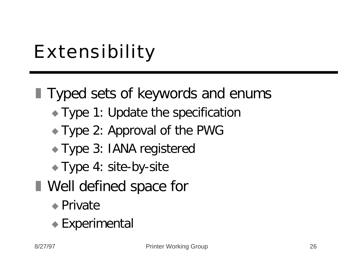# Extensibility

## $\blacksquare$  Typed sets of keywords and enums

- $\rightarrow$  Type 1: Update the specification
- $\rightarrow$  Type 2: Approval of the PWG
- Type 3: IANA registered
- $\blacktriangleright$  Type 4: site-by-site
- **Nell defined space for** 
	- $\bullet$  Private
	- $\bullet$  Experimental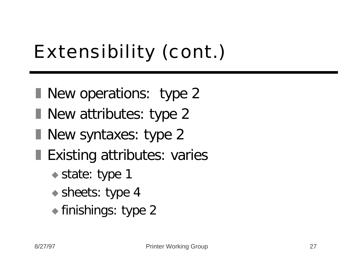# Extensibility (cont.)

- New operations: type 2
- $\blacksquare$  New attributes: type 2
- $\blacksquare$  New syntaxes: type 2
- **Existing attributes: varies** 
	- $\bullet$  state: type 1
	- $\bullet$  sheets: type 4
	- $\bullet$  finishings: type 2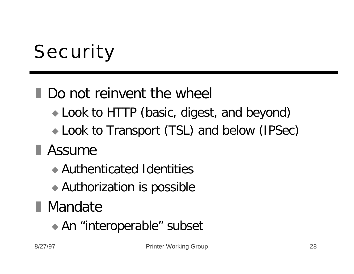# **Security**

### **Do not reinvent the wheel**

- Look to HTTP (basic, digest, and beyond)
- Look to Transport (TSL) and below (IPSec)

## **Assume**

- $\triangle$  Authenticated Identities
- $\rightarrow$  Authorization is possible

## **Nandate**

◆ An "interoperable" subset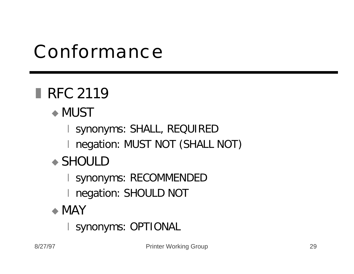## Conformance

## RFC 2119

#### $\bullet$  MUST

I synonyms: SHALL, REQUIRED

I negation: MUST NOT (SHALL NOT)

#### $\rightarrow$  SHOULD

I synonyms: RECOMMENDED

I negation: SHOULD NOT

#### $\bullet$  MAY

| synonyms: OPTIONAL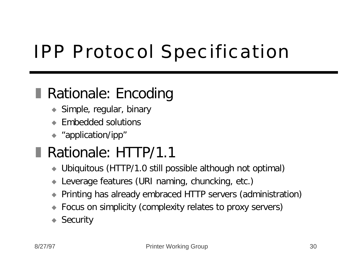# IPP Protocol Specification

### **Rationale: Encoding**

- $\blacktriangleright$  Simple, regular, binary
- Embedded solutions
- $\leftrightarrow$  "application/ipp"

## Rationale: HTTP/1.1

- ◆ Ubiquitous (HTTP/1.0 still possible although not optimal)
- Leverage features (URI naming, chuncking, etc.)
- u Printing has already embraced HTTP servers (administration)
- Focus on simplicity (complexity relates to proxy servers)
- $\triangle$  Security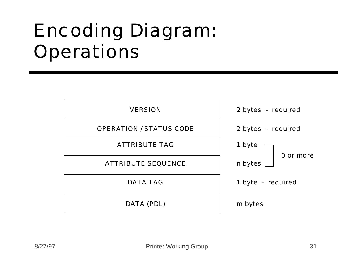## Encoding Diagram: **Operations**

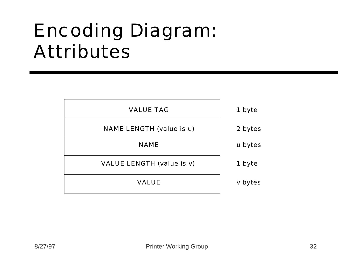## Encoding Diagram: Attributes

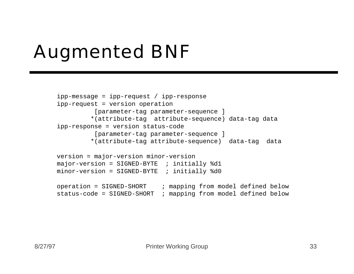# Augmented BNF

```
ipp-message = ipp-request / ipp-response
ipp-request = version operation 
           [parameter-tag parameter-sequence ]
          *(attribute-tag attribute-sequence) data-tag data
ipp-response = version status-code 
           [parameter-tag parameter-sequence ] 
          *(attribute-tag attribute-sequence) data-tag data
version = major-version minor-version
major-version = SIGNED-BYTE ; initially 8d1minor-version = SIGNED-BYTE ; initially \&d0operation = SIGNED-SHORT ; mapping from model defined below
status-code = SIGNED-SHORT ; mapping from model defined below
```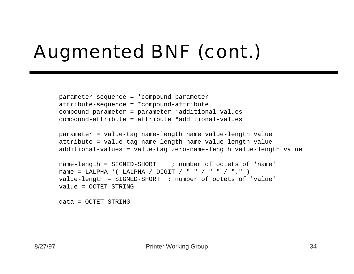# Augmented BNF (cont.)

```
parameter-sequence = *compound-parameter 
attribute-sequence = *compound-attribute
compound-parameter = parameter *additional-values
compound-attribute = attribute *additional-values
```

```
parameter = value-tag name-length name value-length value
attribute = value-tag name-length name value-length value
additional-values = value-tag zero-name-length value-length value
```

```
name-length = SIGNED-SHORT ; number of octets of 'name'
name = LALPHA *( LALPHA / DIGIT / "-" / " " / "." )
value-length = SIGNED-SHORT ; number of octets of 'value'
value = OCTET-STRING
```

```
data = OCTET-STRING
```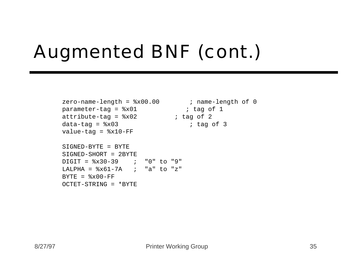# Augmented BNF (cont.)

```
zero-name-length = x00.00 ; name-length of 0
parameter-tag = <math>*x01</math> ; tag of 1attribute-tag = 8x02 ; tag of 2
data-tag = <math>*x03</math> ; tag of 3
value-tag = 8x10-FF
```

```
SIGNED-BYTF = BYTFSIGNED-SHORT = 2BYTE
DIGIT = %x30-39 ; "0" to "9"
LALPHA = 8x61-7A ; "a" to "z"
BYTF = <math>\frac{1}{2} \times 0.0 - FFOCTET-STRING = *BYTF
```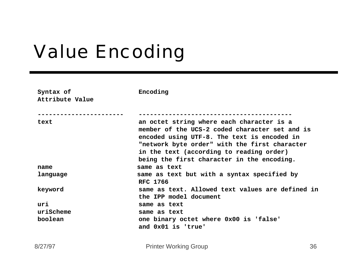## Value Encoding

| Syntax of<br>Attribute Value | Encoding                                                                                                                                                                                                                                                                              |    |  |
|------------------------------|---------------------------------------------------------------------------------------------------------------------------------------------------------------------------------------------------------------------------------------------------------------------------------------|----|--|
|                              |                                                                                                                                                                                                                                                                                       |    |  |
| text                         | an octet string where each character is a<br>member of the UCS-2 coded character set and is<br>encoded using UTF-8. The text is encoded in<br>"network byte order" with the first character<br>in the text (according to reading order)<br>being the first character in the encoding. |    |  |
| name                         | same as text                                                                                                                                                                                                                                                                          |    |  |
| language                     | same as text but with a syntax specified by<br><b>RFC 1766</b>                                                                                                                                                                                                                        |    |  |
| keyword                      | same as text. Allowed text values are defined in<br>the IPP model document                                                                                                                                                                                                            |    |  |
| uri                          | same as text                                                                                                                                                                                                                                                                          |    |  |
| uriScheme                    | same as text                                                                                                                                                                                                                                                                          |    |  |
| boolean                      | one binary octet where 0x00 is 'false'<br>and 0x01 is 'true'                                                                                                                                                                                                                          |    |  |
| 8/27/97                      | <b>Printer Working Group</b>                                                                                                                                                                                                                                                          | 36 |  |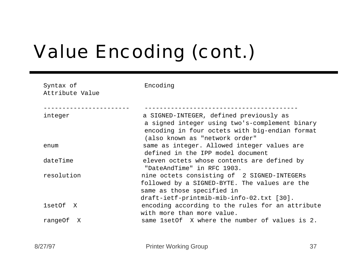# Value Encoding (cont.)

| Syntax of<br>Attribute Value | Encoding                                                                                                                                                                      |  |
|------------------------------|-------------------------------------------------------------------------------------------------------------------------------------------------------------------------------|--|
| integer                      | a SIGNED-INTEGER, defined previously as<br>a signed integer using two's-complement binary<br>encoding in four octets with big-endian format<br>(also known as "network order" |  |
| enum                         | same as integer. Allowed integer values are<br>defined in the IPP model document                                                                                              |  |
| dateTime                     | eleven octets whose contents are defined by<br>"DateAndTime" in RFC 1903.                                                                                                     |  |
| resolution                   | nine octets consisting of 2 SIGNED-INTEGERs<br>followed by a SIGNED-BYTE. The values are the<br>same as those specified in<br>draft-ietf-printmib-mib-info-02.txt [30].       |  |
| 1setOf X                     | encoding according to the rules for an attribute<br>with more than more value.                                                                                                |  |
| rangeOf X                    | same 1setOf X where the number of values is 2.                                                                                                                                |  |
| 8/27/97                      | 37<br><b>Printer Working Group</b>                                                                                                                                            |  |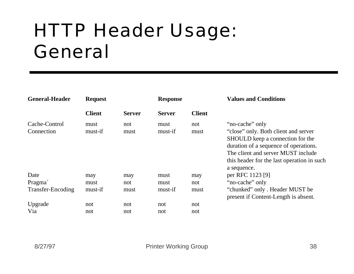## HTTP Header Usage: General

| <b>General-Header</b>                      | <b>Request</b>         |                    | <b>Response</b>         |                    | <b>Values and Conditions</b>                                                                                                                                                                                                            |
|--------------------------------------------|------------------------|--------------------|-------------------------|--------------------|-----------------------------------------------------------------------------------------------------------------------------------------------------------------------------------------------------------------------------------------|
|                                            | <b>Client</b>          | <b>Server</b>      | <b>Server</b>           | <b>Client</b>      |                                                                                                                                                                                                                                         |
| Cache-Control<br>Connection                | must<br>must-if        | not<br>must        | must<br>must-if         | not<br>must        | "no-cache" only<br>"close" only. Both client and server<br>SHOULD keep a connection for the<br>duration of a sequence of operations.<br>The client and server MUST include<br>this header for the last operation in such<br>a sequence. |
| Date<br>Pragma<br><b>Transfer-Encoding</b> | may<br>must<br>must-if | may<br>not<br>must | must<br>must<br>must-if | may<br>not<br>must | per RFC 1123 [9]<br>"no-cache" only<br>"chunked" only. Header MUST be<br>present if Content-Length is absent.                                                                                                                           |
| Upgrade<br>Via                             | not<br>not             | not<br>not         | not<br>not              | not<br>not         |                                                                                                                                                                                                                                         |